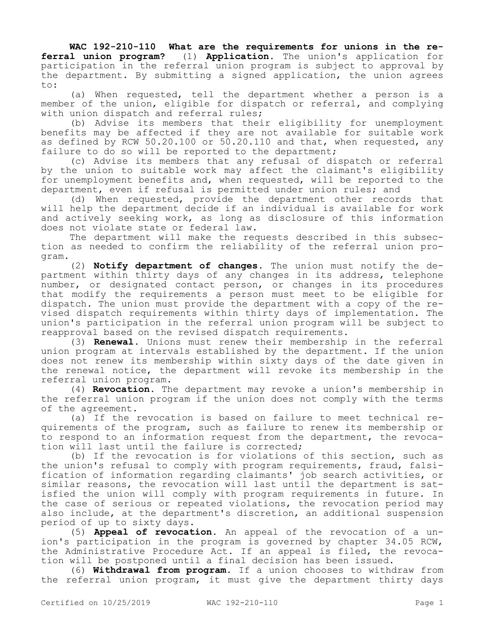**WAC 192-210-110 What are the requirements for unions in the referral union program?** (1) **Application.** The union's application for participation in the referral union program is subject to approval by the department. By submitting a signed application, the union agrees to:

(a) When requested, tell the department whether a person is a member of the union, eligible for dispatch or referral, and complying with union dispatch and referral rules;

(b) Advise its members that their eligibility for unemployment benefits may be affected if they are not available for suitable work as defined by RCW 50.20.100 or 50.20.110 and that, when requested, any failure to do so will be reported to the department;

(c) Advise its members that any refusal of dispatch or referral by the union to suitable work may affect the claimant's eligibility for unemployment benefits and, when requested, will be reported to the department, even if refusal is permitted under union rules; and

(d) When requested, provide the department other records that will help the department decide if an individual is available for work and actively seeking work, as long as disclosure of this information does not violate state or federal law.

The department will make the requests described in this subsection as needed to confirm the reliability of the referral union program.

(2) **Notify department of changes.** The union must notify the department within thirty days of any changes in its address, telephone number, or designated contact person, or changes in its procedures that modify the requirements a person must meet to be eligible for dispatch. The union must provide the department with a copy of the revised dispatch requirements within thirty days of implementation. The union's participation in the referral union program will be subject to reapproval based on the revised dispatch requirements.

(3) **Renewal.** Unions must renew their membership in the referral union program at intervals established by the department. If the union does not renew its membership within sixty days of the date given in the renewal notice, the department will revoke its membership in the referral union program.

(4) **Revocation.** The department may revoke a union's membership in the referral union program if the union does not comply with the terms of the agreement.

(a) If the revocation is based on failure to meet technical requirements of the program, such as failure to renew its membership or to respond to an information request from the department, the revocation will last until the failure is corrected;

(b) If the revocation is for violations of this section, such as the union's refusal to comply with program requirements, fraud, falsification of information regarding claimants' job search activities, or similar reasons, the revocation will last until the department is satisfied the union will comply with program requirements in future. In the case of serious or repeated violations, the revocation period may also include, at the department's discretion, an additional suspension period of up to sixty days.

(5) **Appeal of revocation.** An appeal of the revocation of a union's participation in the program is governed by chapter 34.05 RCW, the Administrative Procedure Act. If an appeal is filed, the revocation will be postponed until a final decision has been issued.

(6) **Withdrawal from program.** If a union chooses to withdraw from the referral union program, it must give the department thirty days